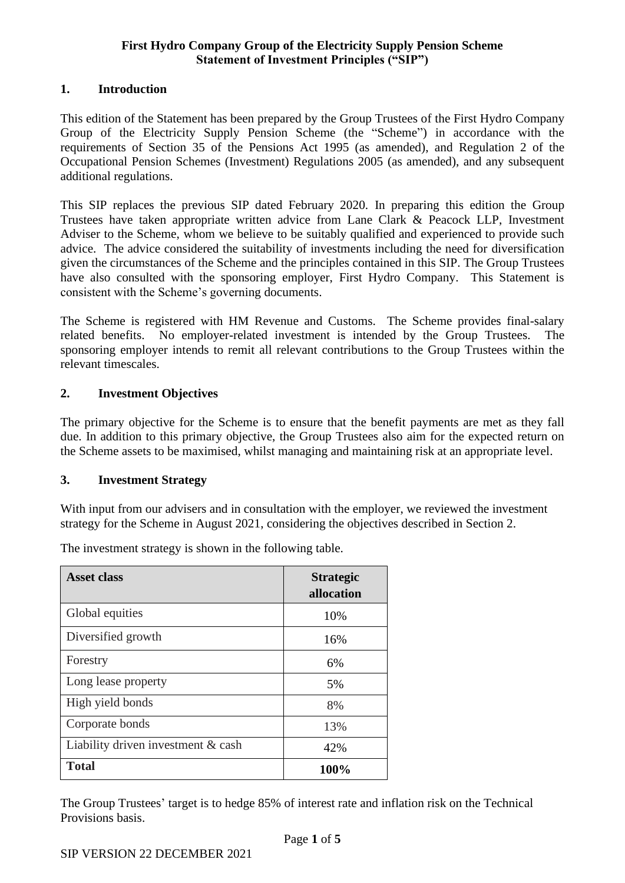## **1. Introduction**

This edition of the Statement has been prepared by the Group Trustees of the First Hydro Company Group of the Electricity Supply Pension Scheme (the "Scheme") in accordance with the requirements of Section 35 of the Pensions Act 1995 (as amended), and Regulation 2 of the Occupational Pension Schemes (Investment) Regulations 2005 (as amended), and any subsequent additional regulations.

This SIP replaces the previous SIP dated February 2020. In preparing this edition the Group Trustees have taken appropriate written advice from Lane Clark & Peacock LLP, Investment Adviser to the Scheme, whom we believe to be suitably qualified and experienced to provide such advice. The advice considered the suitability of investments including the need for diversification given the circumstances of the Scheme and the principles contained in this SIP. The Group Trustees have also consulted with the sponsoring employer, First Hydro Company. This Statement is consistent with the Scheme's governing documents.

The Scheme is registered with HM Revenue and Customs. The Scheme provides final-salary related benefits. No employer-related investment is intended by the Group Trustees. The sponsoring employer intends to remit all relevant contributions to the Group Trustees within the relevant timescales.

#### **2. Investment Objectives**

The primary objective for the Scheme is to ensure that the benefit payments are met as they fall due. In addition to this primary objective, the Group Trustees also aim for the expected return on the Scheme assets to be maximised, whilst managing and maintaining risk at an appropriate level.

#### **3. Investment Strategy**

With input from our advisers and in consultation with the employer, we reviewed the investment strategy for the Scheme in August 2021, considering the objectives described in Section 2.

| <b>Asset class</b>                 | <b>Strategic</b><br>allocation |
|------------------------------------|--------------------------------|
| Global equities                    | 10%                            |
| Diversified growth                 | 16%                            |
| Forestry                           | 6%                             |
| Long lease property                | 5%                             |
| High yield bonds                   | 8%                             |
| Corporate bonds                    | 13%                            |
| Liability driven investment & cash | 42%                            |
| <b>Total</b>                       | 100%                           |

The investment strategy is shown in the following table.

The Group Trustees' target is to hedge 85% of interest rate and inflation risk on the Technical Provisions basis.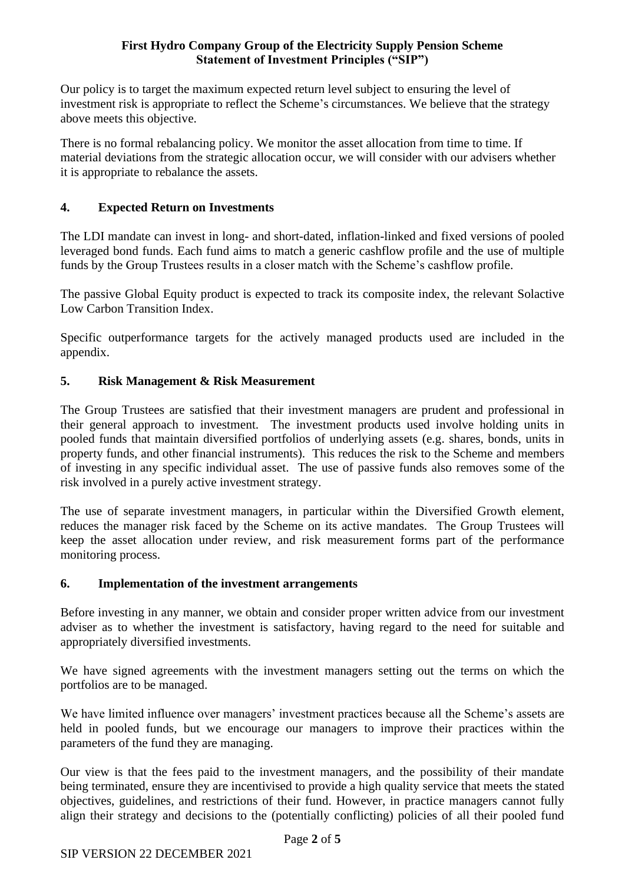Our policy is to target the maximum expected return level subject to ensuring the level of investment risk is appropriate to reflect the Scheme's circumstances. We believe that the strategy above meets this objective.

There is no formal rebalancing policy. We monitor the asset allocation from time to time. If material deviations from the strategic allocation occur, we will consider with our advisers whether it is appropriate to rebalance the assets.

# **4. Expected Return on Investments**

The LDI mandate can invest in long- and short-dated, inflation-linked and fixed versions of pooled leveraged bond funds. Each fund aims to match a generic cashflow profile and the use of multiple funds by the Group Trustees results in a closer match with the Scheme's cashflow profile.

The passive Global Equity product is expected to track its composite index, the relevant Solactive Low Carbon Transition Index.

Specific outperformance targets for the actively managed products used are included in the appendix.

# **5. Risk Management & Risk Measurement**

The Group Trustees are satisfied that their investment managers are prudent and professional in their general approach to investment. The investment products used involve holding units in pooled funds that maintain diversified portfolios of underlying assets (e.g. shares, bonds, units in property funds, and other financial instruments). This reduces the risk to the Scheme and members of investing in any specific individual asset. The use of passive funds also removes some of the risk involved in a purely active investment strategy.

The use of separate investment managers, in particular within the Diversified Growth element, reduces the manager risk faced by the Scheme on its active mandates. The Group Trustees will keep the asset allocation under review, and risk measurement forms part of the performance monitoring process.

## **6. Implementation of the investment arrangements**

Before investing in any manner, we obtain and consider proper written advice from our investment adviser as to whether the investment is satisfactory, having regard to the need for suitable and appropriately diversified investments.

We have signed agreements with the investment managers setting out the terms on which the portfolios are to be managed.

We have limited influence over managers' investment practices because all the Scheme's assets are held in pooled funds, but we encourage our managers to improve their practices within the parameters of the fund they are managing.

Our view is that the fees paid to the investment managers, and the possibility of their mandate being terminated, ensure they are incentivised to provide a high quality service that meets the stated objectives, guidelines, and restrictions of their fund. However, in practice managers cannot fully align their strategy and decisions to the (potentially conflicting) policies of all their pooled fund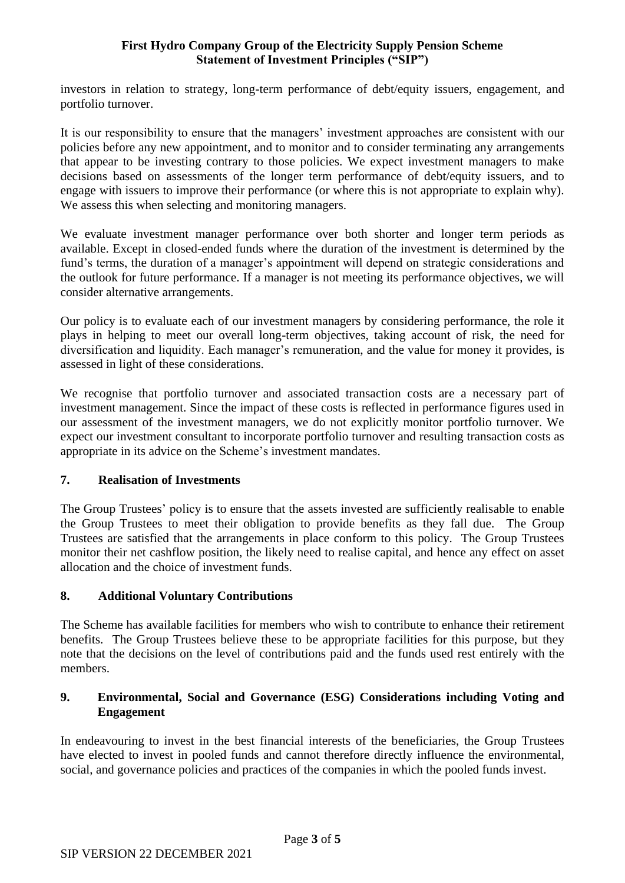investors in relation to strategy, long-term performance of debt/equity issuers, engagement, and portfolio turnover.

It is our responsibility to ensure that the managers' investment approaches are consistent with our policies before any new appointment, and to monitor and to consider terminating any arrangements that appear to be investing contrary to those policies. We expect investment managers to make decisions based on assessments of the longer term performance of debt/equity issuers, and to engage with issuers to improve their performance (or where this is not appropriate to explain why). We assess this when selecting and monitoring managers.

We evaluate investment manager performance over both shorter and longer term periods as available. Except in closed-ended funds where the duration of the investment is determined by the fund's terms, the duration of a manager's appointment will depend on strategic considerations and the outlook for future performance. If a manager is not meeting its performance objectives, we will consider alternative arrangements.

Our policy is to evaluate each of our investment managers by considering performance, the role it plays in helping to meet our overall long-term objectives, taking account of risk, the need for diversification and liquidity. Each manager's remuneration, and the value for money it provides, is assessed in light of these considerations.

We recognise that portfolio turnover and associated transaction costs are a necessary part of investment management. Since the impact of these costs is reflected in performance figures used in our assessment of the investment managers, we do not explicitly monitor portfolio turnover. We expect our investment consultant to incorporate portfolio turnover and resulting transaction costs as appropriate in its advice on the Scheme's investment mandates.

## **7. Realisation of Investments**

The Group Trustees' policy is to ensure that the assets invested are sufficiently realisable to enable the Group Trustees to meet their obligation to provide benefits as they fall due. The Group Trustees are satisfied that the arrangements in place conform to this policy. The Group Trustees monitor their net cashflow position, the likely need to realise capital, and hence any effect on asset allocation and the choice of investment funds.

## **8. Additional Voluntary Contributions**

The Scheme has available facilities for members who wish to contribute to enhance their retirement benefits. The Group Trustees believe these to be appropriate facilities for this purpose, but they note that the decisions on the level of contributions paid and the funds used rest entirely with the members.

#### **9. Environmental, Social and Governance (ESG) Considerations including Voting and Engagement**

In endeavouring to invest in the best financial interests of the beneficiaries, the Group Trustees have elected to invest in pooled funds and cannot therefore directly influence the environmental, social, and governance policies and practices of the companies in which the pooled funds invest.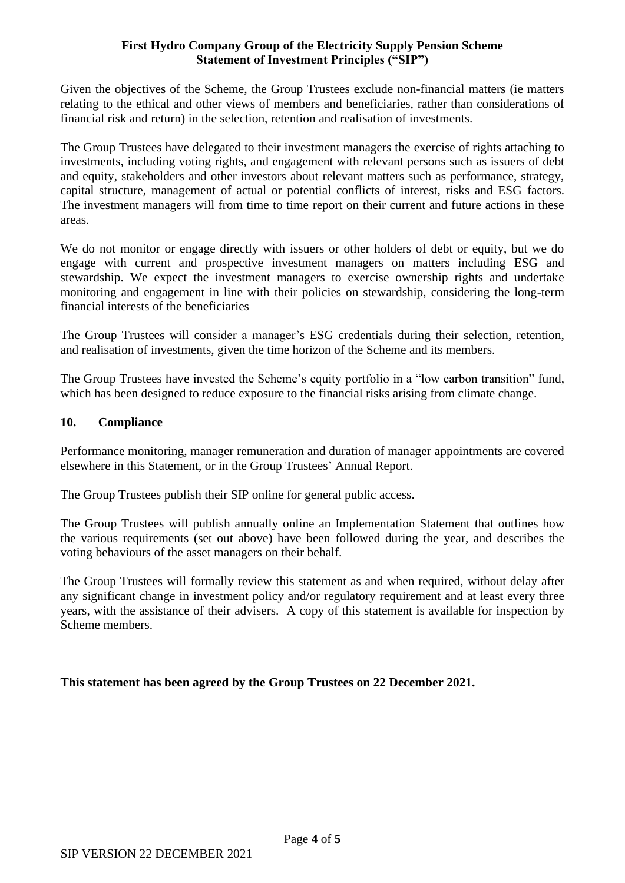Given the objectives of the Scheme, the Group Trustees exclude non-financial matters (ie matters relating to the ethical and other views of members and beneficiaries, rather than considerations of financial risk and return) in the selection, retention and realisation of investments.

The Group Trustees have delegated to their investment managers the exercise of rights attaching to investments, including voting rights, and engagement with relevant persons such as issuers of debt and equity, stakeholders and other investors about relevant matters such as performance, strategy, capital structure, management of actual or potential conflicts of interest, risks and ESG factors. The investment managers will from time to time report on their current and future actions in these areas.

We do not monitor or engage directly with issuers or other holders of debt or equity, but we do engage with current and prospective investment managers on matters including ESG and stewardship. We expect the investment managers to exercise ownership rights and undertake monitoring and engagement in line with their policies on stewardship, considering the long-term financial interests of the beneficiaries

The Group Trustees will consider a manager's ESG credentials during their selection, retention, and realisation of investments, given the time horizon of the Scheme and its members.

The Group Trustees have invested the Scheme's equity portfolio in a "low carbon transition" fund, which has been designed to reduce exposure to the financial risks arising from climate change.

#### **10. Compliance**

Performance monitoring, manager remuneration and duration of manager appointments are covered elsewhere in this Statement, or in the Group Trustees' Annual Report.

The Group Trustees publish their SIP online for general public access.

The Group Trustees will publish annually online an Implementation Statement that outlines how the various requirements (set out above) have been followed during the year, and describes the voting behaviours of the asset managers on their behalf.

The Group Trustees will formally review this statement as and when required, without delay after any significant change in investment policy and/or regulatory requirement and at least every three years, with the assistance of their advisers. A copy of this statement is available for inspection by Scheme members.

## **This statement has been agreed by the Group Trustees on 22 December 2021.**